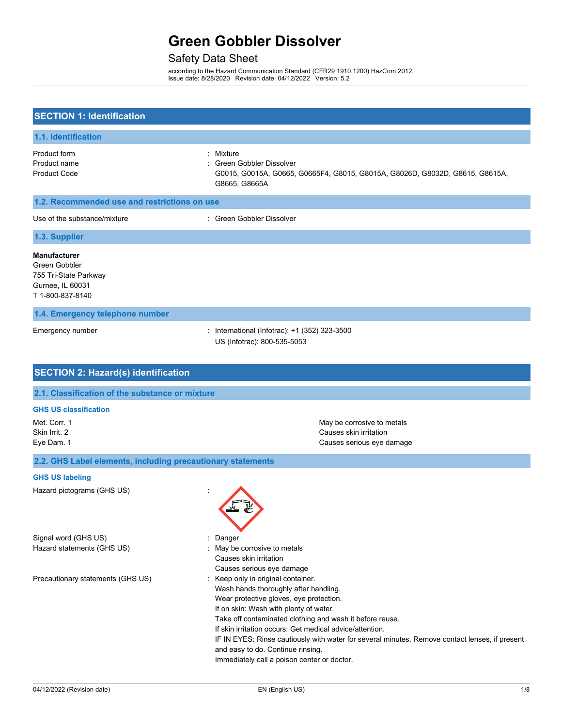## Safety Data Sheet

according to the Hazard Communication Standard (CFR29 1910.1200) HazCom 2012. Issue date: 8/28/2020 Revision date: 04/12/2022 Version: 5.2

| <b>SECTION 1: Identification</b>                                                                      |                                                                                                                                                                                                                                                                                                                                                                                                                                                                                    |  |
|-------------------------------------------------------------------------------------------------------|------------------------------------------------------------------------------------------------------------------------------------------------------------------------------------------------------------------------------------------------------------------------------------------------------------------------------------------------------------------------------------------------------------------------------------------------------------------------------------|--|
| 1.1. Identification                                                                                   |                                                                                                                                                                                                                                                                                                                                                                                                                                                                                    |  |
| Product form<br>Product name<br><b>Product Code</b>                                                   | : Mixture<br>Green Gobbler Dissolver<br>G0015, G0015A, G0665, G0665F4, G8015, G8015A, G8026D, G8032D, G8615, G8615A,<br>G8665, G8665A                                                                                                                                                                                                                                                                                                                                              |  |
| 1.2. Recommended use and restrictions on use                                                          |                                                                                                                                                                                                                                                                                                                                                                                                                                                                                    |  |
| Use of the substance/mixture                                                                          | : Green Gobbler Dissolver                                                                                                                                                                                                                                                                                                                                                                                                                                                          |  |
| 1.3. Supplier                                                                                         |                                                                                                                                                                                                                                                                                                                                                                                                                                                                                    |  |
| <b>Manufacturer</b><br>Green Gobbler<br>755 Tri-State Parkway<br>Gurnee, IL 60031<br>T 1-800-837-8140 |                                                                                                                                                                                                                                                                                                                                                                                                                                                                                    |  |
| 1.4. Emergency telephone number                                                                       |                                                                                                                                                                                                                                                                                                                                                                                                                                                                                    |  |
| Emergency number                                                                                      | International (Infotrac): +1 (352) 323-3500<br>÷.<br>US (Infotrac): 800-535-5053                                                                                                                                                                                                                                                                                                                                                                                                   |  |
| <b>SECTION 2: Hazard(s) identification</b>                                                            |                                                                                                                                                                                                                                                                                                                                                                                                                                                                                    |  |
| 2.1. Classification of the substance or mixture                                                       |                                                                                                                                                                                                                                                                                                                                                                                                                                                                                    |  |
| <b>GHS US classification</b>                                                                          |                                                                                                                                                                                                                                                                                                                                                                                                                                                                                    |  |
| Met. Corr. 1<br>Skin Irrit. 2<br>Eye Dam. 1                                                           | May be corrosive to metals<br>Causes skin irritation<br>Causes serious eye damage                                                                                                                                                                                                                                                                                                                                                                                                  |  |
| 2.2. GHS Label elements, including precautionary statements                                           |                                                                                                                                                                                                                                                                                                                                                                                                                                                                                    |  |
| <b>GHS US labeling</b>                                                                                |                                                                                                                                                                                                                                                                                                                                                                                                                                                                                    |  |
| Hazard pictograms (GHS US)                                                                            |                                                                                                                                                                                                                                                                                                                                                                                                                                                                                    |  |
| Signal word (GHS US)<br>Hazard statements (GHS US)                                                    | Danger<br>May be corrosive to metals<br>Causes skin irritation<br>Causes serious eye damage                                                                                                                                                                                                                                                                                                                                                                                        |  |
| Precautionary statements (GHS US)                                                                     | Keep only in original container.<br>÷.<br>Wash hands thoroughly after handling.<br>Wear protective gloves, eye protection.<br>If on skin: Wash with plenty of water.<br>Take off contaminated clothing and wash it before reuse.<br>If skin irritation occurs: Get medical advice/attention.<br>IF IN EYES: Rinse cautiously with water for several minutes. Remove contact lenses, if present<br>and easy to do. Continue rinsing.<br>Immediately call a poison center or doctor. |  |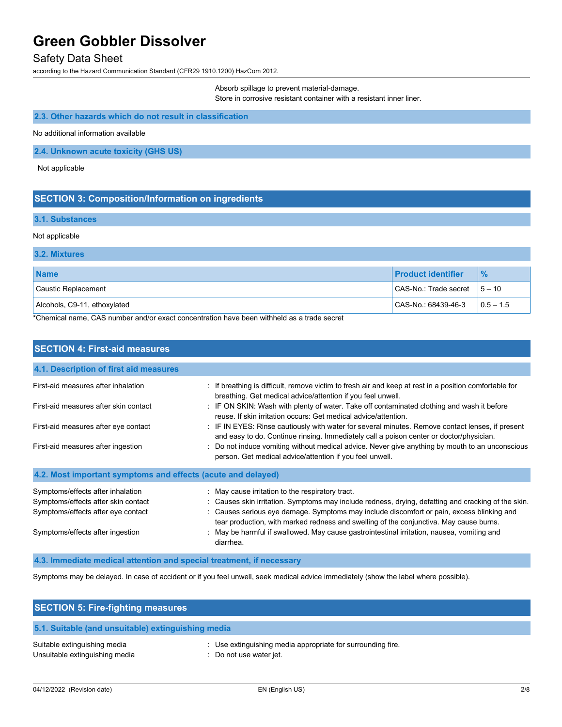### Safety Data Sheet

according to the Hazard Communication Standard (CFR29 1910.1200) HazCom 2012.

Absorb spillage to prevent material-damage. Store in corrosive resistant container with a resistant inner liner.

### **2.3. Other hazards which do not result in classification**

No additional information available

**2.4. Unknown acute toxicity (GHS US)**

Not applicable

#### **SECTION 3: Composition/Information on ingredients**

#### **3.1. Substances**

#### Not applicable

#### **3.2. Mixtures**

| <b>Name</b>                                          | <b>Product identifier</b> | $\frac{9}{6}$ |
|------------------------------------------------------|---------------------------|---------------|
| Caustic Replacement                                  | CAS-No.: Trade secret     | $15 - 10$     |
| Alcohols, C9-11, ethoxylated<br>$\sim$ $\sim$ $\sim$ | CAS-No.: 68439-46-3       | $10.5 - 1.5$  |

\*Chemical name, CAS number and/or exact concentration have been withheld as a trade secret

| <b>SECTION 4: First-aid measures</b>                                                                                                               |                                                                                                                                                                                                                                                                                                                                                                                                                                                       |
|----------------------------------------------------------------------------------------------------------------------------------------------------|-------------------------------------------------------------------------------------------------------------------------------------------------------------------------------------------------------------------------------------------------------------------------------------------------------------------------------------------------------------------------------------------------------------------------------------------------------|
| 4.1. Description of first aid measures                                                                                                             |                                                                                                                                                                                                                                                                                                                                                                                                                                                       |
| First-aid measures after inhalation                                                                                                                | : If breathing is difficult, remove victim to fresh air and keep at rest in a position comfortable for<br>breathing. Get medical advice/attention if you feel unwell.                                                                                                                                                                                                                                                                                 |
| First-aid measures after skin contact                                                                                                              | : IF ON SKIN: Wash with plenty of water. Take off contaminated clothing and wash it before<br>reuse. If skin irritation occurs: Get medical advice/attention.                                                                                                                                                                                                                                                                                         |
| First-aid measures after eye contact                                                                                                               | : IF IN EYES: Rinse cautiously with water for several minutes. Remove contact lenses, if present<br>and easy to do. Continue rinsing. Immediately call a poison center or doctor/physician.                                                                                                                                                                                                                                                           |
| First-aid measures after ingestion                                                                                                                 | Do not induce vomiting without medical advice. Never give anything by mouth to an unconscious<br>person. Get medical advice/attention if you feel unwell.                                                                                                                                                                                                                                                                                             |
| 4.2. Most important symptoms and effects (acute and delayed)                                                                                       |                                                                                                                                                                                                                                                                                                                                                                                                                                                       |
| Symptoms/effects after inhalation<br>Symptoms/effects after skin contact<br>Symptoms/effects after eye contact<br>Symptoms/effects after ingestion | : May cause irritation to the respiratory tract.<br>Causes skin irritation. Symptoms may include redness, drying, defatting and cracking of the skin.<br>Causes serious eye damage. Symptoms may include discomfort or pain, excess blinking and<br>tear production, with marked redness and swelling of the conjunctiva. May cause burns.<br>: May be harmful if swallowed. May cause gastrointestinal irritation, nausea, vomiting and<br>diarrhea. |
| 4.3. Immediate medical attention and special treatment, if necessary                                                                               |                                                                                                                                                                                                                                                                                                                                                                                                                                                       |

Symptoms may be delayed. In case of accident or if you feel unwell, seek medical advice immediately (show the label where possible).

| <b>SECTION 5: Fire-fighting measures</b>                       |                                                                                        |  |
|----------------------------------------------------------------|----------------------------------------------------------------------------------------|--|
| 5.1. Suitable (and unsuitable) extinguishing media             |                                                                                        |  |
| Suitable extinguishing media<br>Unsuitable extinguishing media | : Use extinguishing media appropriate for surrounding fire.<br>: Do not use water jet. |  |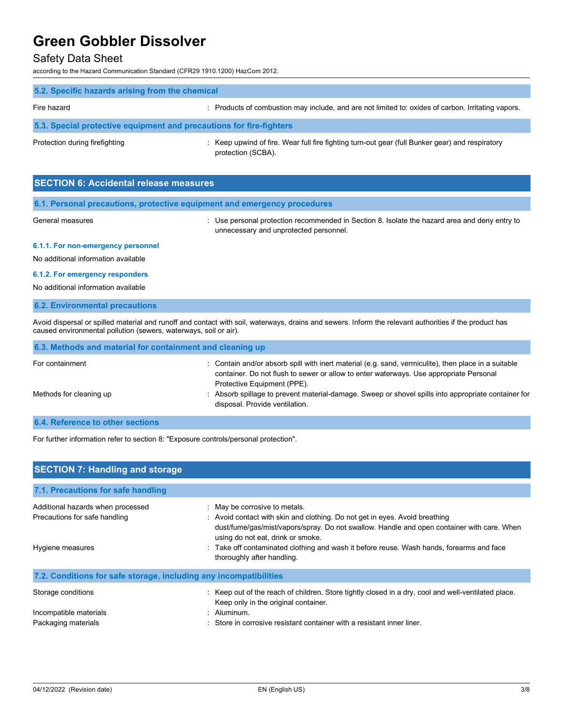### Safety Data Sheet

according to the Hazard Communication Standard (CFR29 1910.1200) HazCom 2012.

| 5.2. Specific hazards arising from the chemical                     |                                                                                                                       |
|---------------------------------------------------------------------|-----------------------------------------------------------------------------------------------------------------------|
| Fire hazard                                                         | : Products of combustion may include, and are not limited to: oxides of carbon. Irritating vapors.                    |
| 5.3. Special protective equipment and precautions for fire-fighters |                                                                                                                       |
| Protection during firefighting                                      | : Keep upwind of fire. Wear full fire fighting turn-out gear (full Bunker gear) and respiratory<br>protection (SCBA). |

| <b>SECTION 6: Accidental release measures</b> |                                                                                                          |  |
|-----------------------------------------------|----------------------------------------------------------------------------------------------------------|--|
|                                               | 6.1. Personal precautions, protective equipment and emergency procedures                                 |  |
| General measures                              | $\therefore$ Use personal protection recommended in Section 8. Isolate the hazard area and deny entry to |  |

unnecessary and unprotected personnel.

#### **6.1.1. For non-emergency personnel**

No additional information available

#### **6.1.2. For emergency responders**

No additional information available

#### **6.2. Environmental precautions**

Avoid dispersal or spilled material and runoff and contact with soil, waterways, drains and sewers. Inform the relevant authorities if the product has caused environmental pollution (sewers, waterways, soil or air).

| 6.3. Methods and material for containment and cleaning up                                                               |                                                                                                                                                                                                                             |
|-------------------------------------------------------------------------------------------------------------------------|-----------------------------------------------------------------------------------------------------------------------------------------------------------------------------------------------------------------------------|
| For containment                                                                                                         | Contain and/or absorb spill with inert material (e.g. sand, vermiculite), then place in a suitable<br>container. Do not flush to sewer or allow to enter waterways. Use appropriate Personal<br>Protective Equipment (PPE). |
| Methods for cleaning up                                                                                                 | : Absorb spillage to prevent material-damage. Sweep or shovel spills into appropriate container for<br>disposal. Provide ventilation.                                                                                       |
| <b>A A BULL</b> A RESERVE A MARINE AND A RESERVE A MARINE AND A RESERVE A MARINE AND A RESERVE A MARINE AND A MARINE OF |                                                                                                                                                                                                                             |

#### **6.4. Reference to other sections**

For further information refer to section 8: "Exposure controls/personal protection".

| <b>SECTION 7: Handling and storage</b>                             |                                                                                                                                                                                                                                                 |  |
|--------------------------------------------------------------------|-------------------------------------------------------------------------------------------------------------------------------------------------------------------------------------------------------------------------------------------------|--|
| 7.1. Precautions for safe handling                                 |                                                                                                                                                                                                                                                 |  |
| Additional hazards when processed<br>Precautions for safe handling | : May be corrosive to metals.<br>: Avoid contact with skin and clothing. Do not get in eyes. Avoid breathing<br>dust/fume/gas/mist/vapors/spray. Do not swallow. Handle and open container with care. When<br>using do not eat, drink or smoke. |  |
| Hygiene measures                                                   | : Take off contaminated clothing and wash it before reuse. Wash hands, forearms and face<br>thoroughly after handling.                                                                                                                          |  |
| 7.2. Conditions for safe storage, including any incompatibilities  |                                                                                                                                                                                                                                                 |  |
| Storage conditions                                                 | : Keep out of the reach of children. Store tightly closed in a dry, cool and well-ventilated place.<br>Keep only in the original container.                                                                                                     |  |
| Incompatible materials                                             | : Aluminum.<br>Store in corrosive resistant container with a resistant inner liner.                                                                                                                                                             |  |
| Packaging materials                                                |                                                                                                                                                                                                                                                 |  |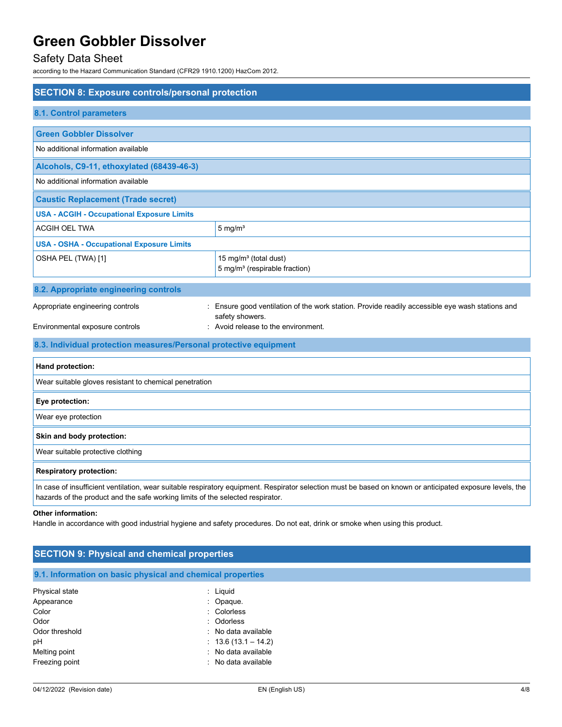## Safety Data Sheet

according to the Hazard Communication Standard (CFR29 1910.1200) HazCom 2012.

| <b>SECTION 8: Exposure controls/personal protection</b>                                                                                                                                                                                     |                                                                                                                  |  |
|---------------------------------------------------------------------------------------------------------------------------------------------------------------------------------------------------------------------------------------------|------------------------------------------------------------------------------------------------------------------|--|
| <b>8.1. Control parameters</b>                                                                                                                                                                                                              |                                                                                                                  |  |
| <b>Green Gobbler Dissolver</b>                                                                                                                                                                                                              |                                                                                                                  |  |
| No additional information available                                                                                                                                                                                                         |                                                                                                                  |  |
| Alcohols, C9-11, ethoxylated (68439-46-3)                                                                                                                                                                                                   |                                                                                                                  |  |
| No additional information available                                                                                                                                                                                                         |                                                                                                                  |  |
| <b>Caustic Replacement (Trade secret)</b>                                                                                                                                                                                                   |                                                                                                                  |  |
| <b>USA - ACGIH - Occupational Exposure Limits</b>                                                                                                                                                                                           |                                                                                                                  |  |
| ACGIH OEL TWA                                                                                                                                                                                                                               | $5 \text{ mg/m}^3$                                                                                               |  |
| <b>USA - OSHA - Occupational Exposure Limits</b>                                                                                                                                                                                            |                                                                                                                  |  |
| OSHA PEL (TWA) [1]                                                                                                                                                                                                                          | 15 mg/m <sup>3</sup> (total dust)<br>5 mg/m <sup>3</sup> (respirable fraction)                                   |  |
| 8.2. Appropriate engineering controls                                                                                                                                                                                                       |                                                                                                                  |  |
| Appropriate engineering controls                                                                                                                                                                                                            | Ensure good ventilation of the work station. Provide readily accessible eye wash stations and<br>safety showers. |  |
| Environmental exposure controls                                                                                                                                                                                                             | : Avoid release to the environment.                                                                              |  |
| 8.3. Individual protection measures/Personal protective equipment                                                                                                                                                                           |                                                                                                                  |  |
| Hand protection:                                                                                                                                                                                                                            |                                                                                                                  |  |
| Wear suitable gloves resistant to chemical penetration                                                                                                                                                                                      |                                                                                                                  |  |
| Eye protection:                                                                                                                                                                                                                             |                                                                                                                  |  |
| Wear eye protection                                                                                                                                                                                                                         |                                                                                                                  |  |
| Skin and body protection:                                                                                                                                                                                                                   |                                                                                                                  |  |
| Wear suitable protective clothing                                                                                                                                                                                                           |                                                                                                                  |  |
| <b>Respiratory protection:</b>                                                                                                                                                                                                              |                                                                                                                  |  |
| In case of insufficient ventilation, wear suitable respiratory equipment. Respirator selection must be based on known or anticipated exposure levels, the<br>hazards of the product and the safe working limits of the selected respirator. |                                                                                                                  |  |
| Other information:<br>Handle in accordance with good industrial hygiene and safety procedures. Do not eat, drink or smoke when using this product.                                                                                          |                                                                                                                  |  |

| <b>SECTION 9: Physical and chemical properties</b> |  |
|----------------------------------------------------|--|
|                                                    |  |

| Physical state | $:$ Liquid            |
|----------------|-----------------------|
| Appearance     | : Opaque.             |
| Color          | : Colorless           |
| Odor           | : Odorless            |
| Odor threshold | : No data available   |
| рH             | $: 13.6(13.1 - 14.2)$ |
| Melting point  | : No data available   |
| Freezing point | : No data available   |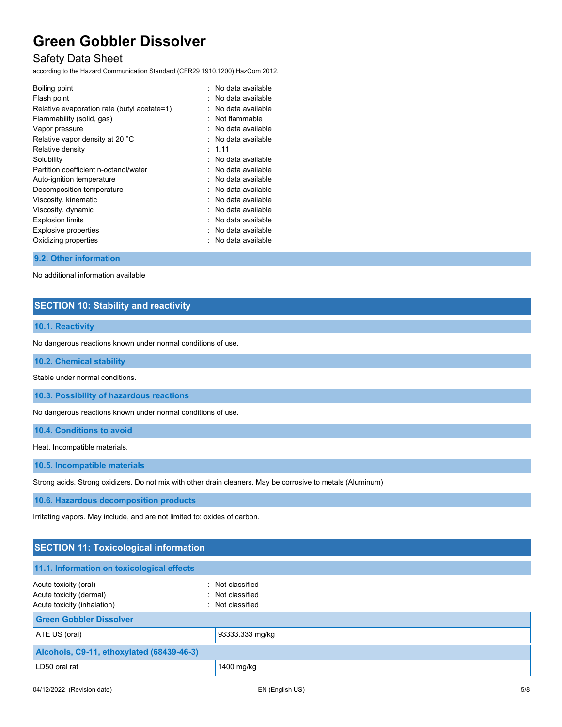### Safety Data Sheet

according to the Hazard Communication Standard (CFR29 1910.1200) HazCom 2012.

| Boiling point                               | $\therefore$ No data available |
|---------------------------------------------|--------------------------------|
| Flash point                                 | $\therefore$ No data available |
| Relative evaporation rate (butyl acetate=1) | No data available              |
| Flammability (solid, gas)                   | : Not flammable                |
| Vapor pressure                              | $\therefore$ No data available |
| Relative vapor density at 20 °C             | $\therefore$ No data available |
| Relative density                            | : 1.11                         |
| Solubility                                  | $\therefore$ No data available |
| Partition coefficient n-octanol/water       | $\therefore$ No data available |
| Auto-ignition temperature                   | $\therefore$ No data available |
| Decomposition temperature                   | . No data available            |
| Viscosity, kinematic                        | $\therefore$ No data available |
| Viscosity, dynamic                          | No data available              |
| <b>Explosion limits</b>                     | $\therefore$ No data available |
| Explosive properties                        | No data available              |
| Oxidizing properties                        | No data available              |

#### **9.2. Other information**

No additional information available

### **SECTION 10: Stability and reactivity**

#### **10.1. Reactivity**

No dangerous reactions known under normal conditions of use.

#### **10.2. Chemical stability**

Stable under normal conditions.

**10.3. Possibility of hazardous reactions**

No dangerous reactions known under normal conditions of use.

**10.4. Conditions to avoid**

Heat. Incompatible materials.

**10.5. Incompatible materials**

Strong acids. Strong oxidizers. Do not mix with other drain cleaners. May be corrosive to metals (Aluminum)

**10.6. Hazardous decomposition products**

Irritating vapors. May include, and are not limited to: oxides of carbon.

### **SECTION 11: Toxicological information**

| 11.1. Information on toxicological effects                                      |                                                          |
|---------------------------------------------------------------------------------|----------------------------------------------------------|
| Acute toxicity (oral)<br>Acute toxicity (dermal)<br>Acute toxicity (inhalation) | : Not classified<br>: Not classified<br>: Not classified |
| <b>Green Gobbler Dissolver</b>                                                  |                                                          |
| ATE US (oral)                                                                   | 93333.333 mg/kg                                          |
| Alcohols, C9-11, ethoxylated (68439-46-3)                                       |                                                          |
| LD50 oral rat                                                                   | 1400 mg/kg                                               |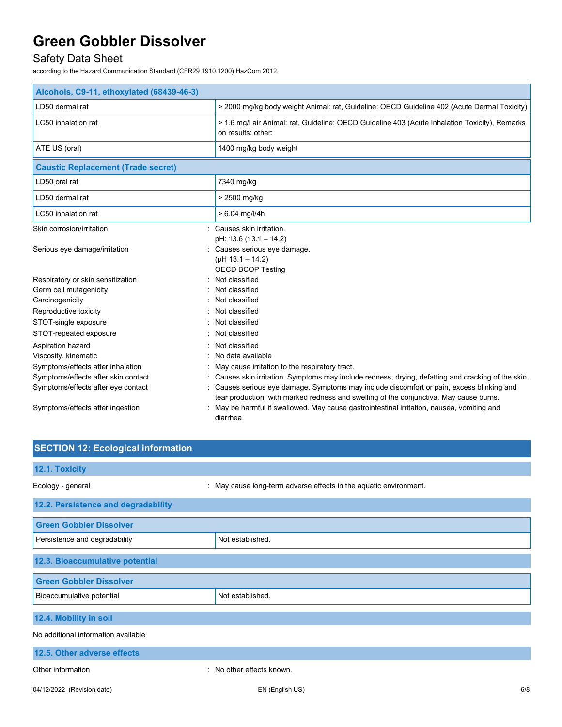## Safety Data Sheet

according to the Hazard Communication Standard (CFR29 1910.1200) HazCom 2012.

| Alcohols, C9-11, ethoxylated (68439-46-3)                                                                                                                                             |                                                                                                                                                                                                                                                                                                                                                                                                   |  |
|---------------------------------------------------------------------------------------------------------------------------------------------------------------------------------------|---------------------------------------------------------------------------------------------------------------------------------------------------------------------------------------------------------------------------------------------------------------------------------------------------------------------------------------------------------------------------------------------------|--|
| LD50 dermal rat                                                                                                                                                                       | > 2000 mg/kg body weight Animal: rat, Guideline: OECD Guideline 402 (Acute Dermal Toxicity)                                                                                                                                                                                                                                                                                                       |  |
| LC50 inhalation rat                                                                                                                                                                   | > 1.6 mg/l air Animal: rat, Guideline: OECD Guideline 403 (Acute Inhalation Toxicity), Remarks<br>on results: other:                                                                                                                                                                                                                                                                              |  |
| ATE US (oral)                                                                                                                                                                         | 1400 mg/kg body weight                                                                                                                                                                                                                                                                                                                                                                            |  |
| <b>Caustic Replacement (Trade secret)</b>                                                                                                                                             |                                                                                                                                                                                                                                                                                                                                                                                                   |  |
| LD50 oral rat                                                                                                                                                                         | 7340 mg/kg                                                                                                                                                                                                                                                                                                                                                                                        |  |
| LD50 dermal rat                                                                                                                                                                       | > 2500 mg/kg                                                                                                                                                                                                                                                                                                                                                                                      |  |
| LC50 inhalation rat                                                                                                                                                                   | $> 6.04$ mg/l/4h                                                                                                                                                                                                                                                                                                                                                                                  |  |
| Skin corrosion/irritation                                                                                                                                                             | : Causes skin irritation.                                                                                                                                                                                                                                                                                                                                                                         |  |
| Serious eye damage/irritation                                                                                                                                                         | pH: 13.6 (13.1 - 14.2)<br>: Causes serious eye damage.<br>$(pH 13.1 - 14.2)$<br><b>OECD BCOP Testing</b>                                                                                                                                                                                                                                                                                          |  |
| Respiratory or skin sensitization<br>Germ cell mutagenicity<br>Carcinogenicity<br>Reproductive toxicity                                                                               | Not classified<br>Not classified<br>Not classified<br>Not classified                                                                                                                                                                                                                                                                                                                              |  |
| STOT-single exposure                                                                                                                                                                  | Not classified                                                                                                                                                                                                                                                                                                                                                                                    |  |
| STOT-repeated exposure<br>Aspiration hazard<br>Viscosity, kinematic<br>Symptoms/effects after inhalation<br>Symptoms/effects after skin contact<br>Symptoms/effects after eye contact | Not classified<br>Not classified<br>No data available<br>May cause irritation to the respiratory tract.<br>Causes skin irritation. Symptoms may include redness, drying, defatting and cracking of the skin.<br>Causes serious eye damage. Symptoms may include discomfort or pain, excess blinking and<br>tear production, with marked redness and swelling of the conjunctiva. May cause burns. |  |
| Symptoms/effects after ingestion                                                                                                                                                      | May be harmful if swallowed. May cause gastrointestinal irritation, nausea, vomiting and<br>diarrhea.                                                                                                                                                                                                                                                                                             |  |

| <b>SECTION 12: Ecological information</b> |                                                                   |
|-------------------------------------------|-------------------------------------------------------------------|
| 12.1. Toxicity                            |                                                                   |
| Ecology - general                         | : May cause long-term adverse effects in the aquatic environment. |
| 12.2. Persistence and degradability       |                                                                   |
| <b>Green Gobbler Dissolver</b>            |                                                                   |
| Persistence and degradability             | Not established.                                                  |
| 12.3. Bioaccumulative potential           |                                                                   |
| <b>Green Gobbler Dissolver</b>            |                                                                   |
| Bioaccumulative potential                 | Not established.                                                  |
| 12.4. Mobility in soil                    |                                                                   |
| No additional information available       |                                                                   |
| 12.5. Other adverse effects               |                                                                   |
| Other information<br>٠                    | No other effects known.                                           |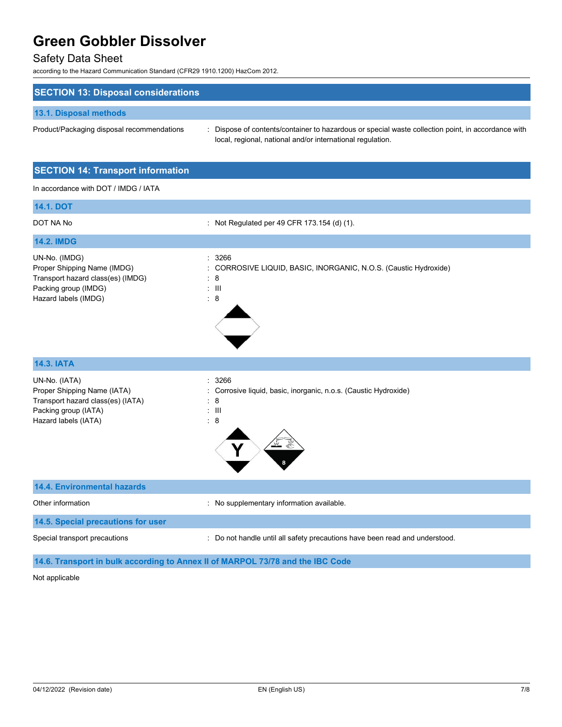## Safety Data Sheet

according to the Hazard Communication Standard (CFR29 1910.1200) HazCom 2012.

| <b>SECTION 13: Disposal considerations</b> |                                                                                                                                                                |
|--------------------------------------------|----------------------------------------------------------------------------------------------------------------------------------------------------------------|
| 13.1. Disposal methods                     |                                                                                                                                                                |
| Product/Packaging disposal recommendations | Dispose of contents/container to hazardous or special waste collection point, in accordance with<br>local, regional, national and/or international regulation. |

### **SECTION 14: Transport information**

In accordance with DOT / IMDG / IATA

| <b>14.1. DOT</b>                                                                                                                  |                                                                                                                     |
|-----------------------------------------------------------------------------------------------------------------------------------|---------------------------------------------------------------------------------------------------------------------|
| DOT NA No                                                                                                                         | : Not Regulated per 49 CFR 173.154 (d) (1).                                                                         |
| <b>14.2. IMDG</b>                                                                                                                 |                                                                                                                     |
| UN-No. (IMDG)<br>Proper Shipping Name (IMDG)<br>Transport hazard class(es) (IMDG)<br>Packing group (IMDG)<br>Hazard labels (IMDG) | 3266<br>÷<br>CORROSIVE LIQUID, BASIC, INORGANIC, N.O.S. (Caustic Hydroxide)<br>: 8<br>$\pm$ 111<br>8<br>t.          |
| <b>14.3. IATA</b>                                                                                                                 |                                                                                                                     |
| UN-No. (IATA)<br>Proper Shipping Name (IATA)<br>Transport hazard class(es) (IATA)<br>Packing group (IATA)<br>Hazard labels (IATA) | 3266<br>$\cdot$<br>Corrosive liquid, basic, inorganic, n.o.s. (Caustic Hydroxide)<br>8<br>$: \mathbb{H}$<br>8<br>t. |
| <b>14.4. Environmental hazards</b>                                                                                                |                                                                                                                     |
| Other information                                                                                                                 | No supplementary information available.<br>t.                                                                       |
| 14.5. Special precautions for user                                                                                                |                                                                                                                     |
| Special transport precautions                                                                                                     | Do not handle until all safety precautions have been read and understood.                                           |

### **14.6. Transport in bulk according to Annex II of MARPOL 73/78 and the IBC Code**

#### Not applicable